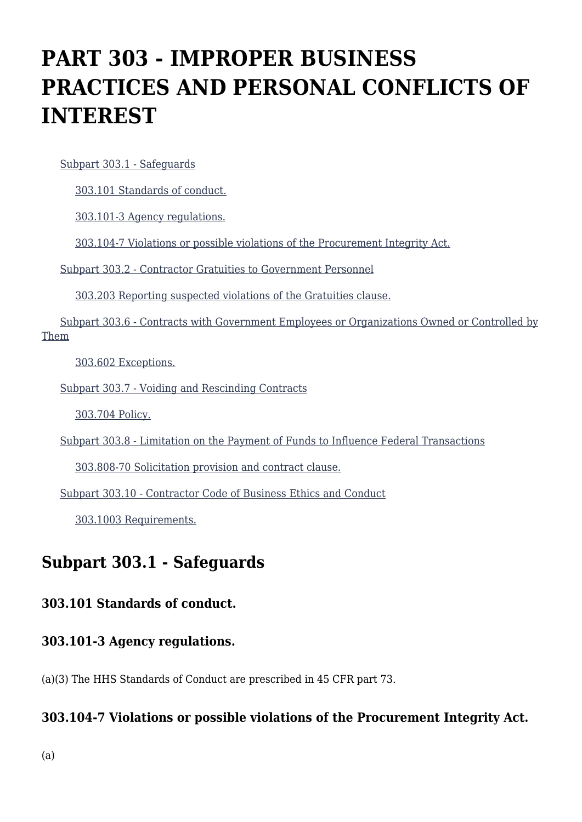# **PART 303 - IMPROPER BUSINESS PRACTICES AND PERSONAL CONFLICTS OF INTEREST**

[Subpart 303.1 - Safeguards](https://origin-www.acquisition.gov/%5Brp:link:hhsar-part-303%5D#Subpart_303_1_T48_401141)

[303.101 Standards of conduct.](https://origin-www.acquisition.gov/%5Brp:link:hhsar-part-303%5D#Section_303_101_T48_40114111)

[303.101-3 Agency regulations.](https://origin-www.acquisition.gov/%5Brp:link:hhsar-part-303%5D#Section_303_101_3_T48_40114112)

[303.104-7 Violations or possible violations of the Procurement Integrity Act.](https://origin-www.acquisition.gov/%5Brp:link:hhsar-part-303%5D#Section_303_104_7_T48_40114113)

[Subpart 303.2 - Contractor Gratuities to Government Personnel](https://origin-www.acquisition.gov/%5Brp:link:hhsar-part-303%5D#Subpart_303_2_T48_401142)

[303.203 Reporting suspected violations of the Gratuities clause.](https://origin-www.acquisition.gov/%5Brp:link:hhsar-part-303%5D#Section_303_203_T48_40114211)

 [Subpart 303.6 - Contracts with Government Employees or Organizations Owned or Controlled by](https://origin-www.acquisition.gov/%5Brp:link:hhsar-part-303%5D#Subpart_303_6_T48_401143) [Them](https://origin-www.acquisition.gov/%5Brp:link:hhsar-part-303%5D#Subpart_303_6_T48_401143)

[303.602 Exceptions.](https://origin-www.acquisition.gov/%5Brp:link:hhsar-part-303%5D#Section_303_602_T48_40114311)

[Subpart 303.7 - Voiding and Rescinding Contracts](https://origin-www.acquisition.gov/%5Brp:link:hhsar-part-303%5D#Subpart_303_7_T48_401144)

[303.704 Policy.](https://origin-www.acquisition.gov/%5Brp:link:hhsar-part-303%5D#Section_303_704_T48_40114411)

[Subpart 303.8 - Limitation on the Payment of Funds to Influence Federal Transactions](https://origin-www.acquisition.gov/%5Brp:link:hhsar-part-303%5D#Subpart_303_8_T48_401145)

[303.808-70 Solicitation provision and contract clause.](https://origin-www.acquisition.gov/%5Brp:link:hhsar-part-303%5D#Section_303_808_70_T48_40114511)

[Subpart 303.10 - Contractor Code of Business Ethics and Conduct](https://origin-www.acquisition.gov/%5Brp:link:hhsar-part-303%5D#Subpart_303_10_T48_401146)

[303.1003 Requirements.](https://origin-www.acquisition.gov/%5Brp:link:hhsar-part-303%5D#Section_303_1003_T48_40114611)

### **Subpart 303.1 - Safeguards**

#### **303.101 Standards of conduct.**

#### **303.101-3 Agency regulations.**

(a)(3) The HHS Standards of Conduct are prescribed in 45 CFR part 73.

#### **303.104-7 Violations or possible violations of the Procurement Integrity Act.**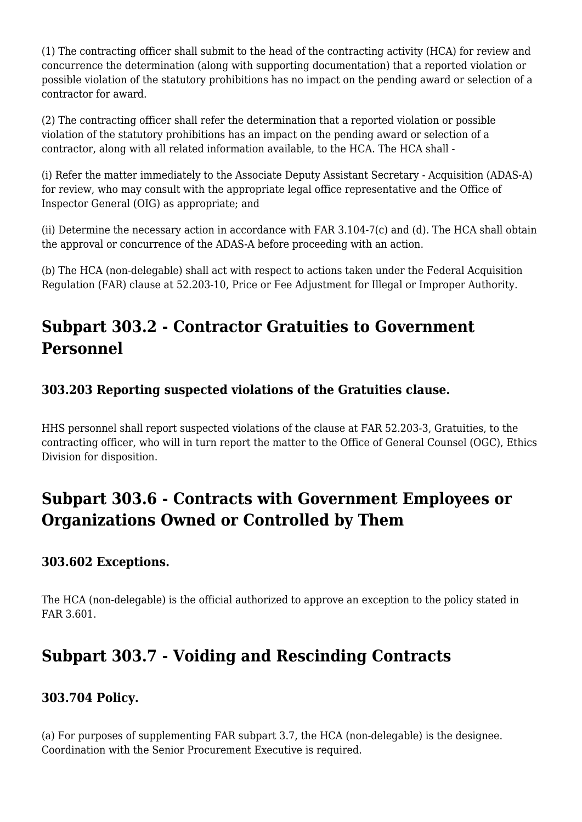(1) The contracting officer shall submit to the head of the contracting activity (HCA) for review and concurrence the determination (along with supporting documentation) that a reported violation or possible violation of the statutory prohibitions has no impact on the pending award or selection of a contractor for award.

(2) The contracting officer shall refer the determination that a reported violation or possible violation of the statutory prohibitions has an impact on the pending award or selection of a contractor, along with all related information available, to the HCA. The HCA shall -

(i) Refer the matter immediately to the Associate Deputy Assistant Secretary - Acquisition (ADAS-A) for review, who may consult with the appropriate legal office representative and the Office of Inspector General (OIG) as appropriate; and

(ii) Determine the necessary action in accordance with FAR 3.104-7(c) and (d). The HCA shall obtain the approval or concurrence of the ADAS-A before proceeding with an action.

(b) The HCA (non-delegable) shall act with respect to actions taken under the Federal Acquisition Regulation (FAR) clause at 52.203-10, Price or Fee Adjustment for Illegal or Improper Authority.

# **Subpart 303.2 - Contractor Gratuities to Government Personnel**

#### **303.203 Reporting suspected violations of the Gratuities clause.**

HHS personnel shall report suspected violations of the clause at FAR 52.203-3, Gratuities, to the contracting officer, who will in turn report the matter to the Office of General Counsel (OGC), Ethics Division for disposition.

# **Subpart 303.6 - Contracts with Government Employees or Organizations Owned or Controlled by Them**

#### **303.602 Exceptions.**

The HCA (non-delegable) is the official authorized to approve an exception to the policy stated in FAR 3.601.

## **Subpart 303.7 - Voiding and Rescinding Contracts**

#### **303.704 Policy.**

(a) For purposes of supplementing FAR subpart 3.7, the HCA (non-delegable) is the designee. Coordination with the Senior Procurement Executive is required.